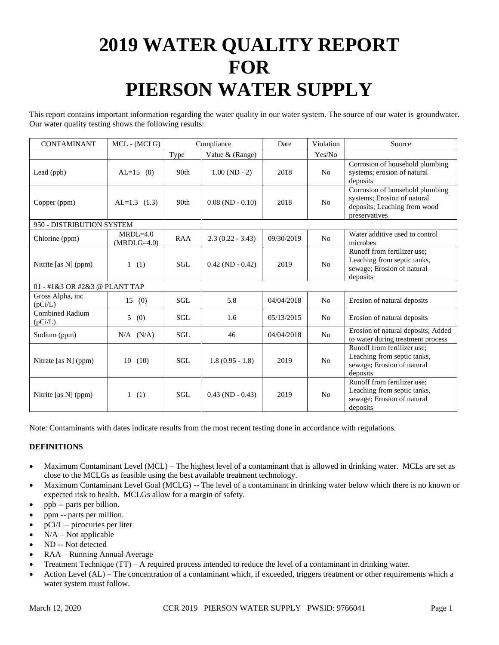# **2019 WATER QUALITY REPORT FOR PIERSON WATER SUPPLY**

This report contains important information regarding the water quality in our water system. The source of our water is groundwater. Our water quality testing shows the following results:

| <b>CONTAMINANT</b>                | MCL - (MCLG)                | Compliance       |                       | Date       | Violation      | Source                                                                                                          |
|-----------------------------------|-----------------------------|------------------|-----------------------|------------|----------------|-----------------------------------------------------------------------------------------------------------------|
|                                   |                             | Type             | Value & (Range)       |            | Yes/No         |                                                                                                                 |
| Lead (ppb)                        | $AL=15$ (0)                 | 90 <sub>th</sub> | $1.00(ND - 2)$        | 2018       | N <sub>o</sub> | Corrosion of household plumbing<br>systems; erosion of natural<br>deposits                                      |
| Copper (ppm)                      | $AL=1.3$ (1.3)              | 90th             | $0.08$ (ND - $0.10$ ) | 2018       | No             | Corrosion of household plumbing<br>systems; Erosion of natural<br>deposits; Leaching from wood<br>preservatives |
| 950 - DISTRIBUTION SYSTEM         |                             |                  |                       |            |                |                                                                                                                 |
| Chlorine (ppm)                    | $MRDL=4.0$<br>$(MRDLG=4.0)$ | RAA              | $2.3(0.22 - 3.43)$    | 09/30/2019 | N <sub>0</sub> | Water additive used to control<br>microbes                                                                      |
| Nitrite [as N] (ppm)              | 1(1)                        | <b>SGL</b>       | $0.42$ (ND $-0.42$ )  | 2019       | N <sub>o</sub> | Runoff from fertilizer use;<br>Leaching from septic tanks,<br>sewage; Erosion of natural<br>deposits            |
| 01 - #1&3 OR #2&3 @ PLANT TAP     |                             |                  |                       |            |                |                                                                                                                 |
| Gross Alpha, inc<br>(pCi/L)       | 15(0)                       | <b>SGL</b>       | 5.8                   | 04/04/2018 | N <sub>o</sub> | Erosion of natural deposits                                                                                     |
| <b>Combined Radium</b><br>(pCi/L) | 5(0)                        | <b>SGL</b>       | 1.6                   | 05/13/2015 | N <sub>o</sub> | Erosion of natural deposits                                                                                     |
| Sodium (ppm)                      | $N/A$ $(N/A)$               | <b>SGL</b>       | 46                    | 04/04/2018 | N <sub>o</sub> | Erosion of natural deposits; Added<br>to water during treatment process                                         |
| Nitrate [as N] (ppm)              | 10(10)                      | <b>SGL</b>       | $1.8(0.95 - 1.8)$     | 2019       | N <sub>o</sub> | Runoff from fertilizer use:<br>Leaching from septic tanks,<br>sewage; Erosion of natural<br>deposits            |
| Nitrite [as $N$ ] (ppm)           | (1)<br>1                    | SGL              | $0.43$ (ND - 0.43)    | 2019       | N <sub>o</sub> | Runoff from fertilizer use;<br>Leaching from septic tanks,<br>sewage; Erosion of natural<br>deposits            |

Note: Contaminants with dates indicate results from the most recent testing done in accordance with regulations.

## **DEFINITIONS**

- Maximum Contaminant Level (MCL) The highest level of a contaminant that is allowed in drinking water. MCLs are set as close to the MCLGs as feasible using the best available treatment technology.
- Maximum Contaminant Level Goal (MCLG) -- The level of a contaminant in drinking water below which there is no known or expected risk to health. MCLGs allow for a margin of safety.
- ppb -- parts per billion.
- ppm -- parts per million.
- $pCi/L$  picocuries per liter
- $N/A Not$  applicable
- ND -- Not detected
- RAA Running Annual Average
- Treatment Technique (TT) A required process intended to reduce the level of a contaminant in drinking water.
- Action Level (AL) The concentration of a contaminant which, if exceeded, triggers treatment or other requirements which a water system must follow.